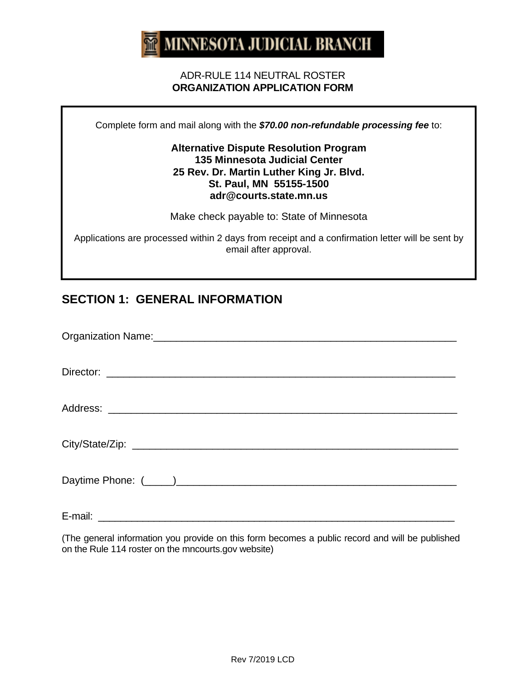# **MINNESOTA JUDICIAL BRANCH**

#### ADR-RULE 114 NEUTRAL ROSTER **ORGANIZATION APPLICATION FORM**

Complete form and mail along with the *\$70.00 non-refundable processing fee* to:

#### **Alternative Dispute Resolution Program 135 Minnesota Judicial Center 25 Rev. Dr. Martin Luther King Jr. Blvd. St. Paul, MN 55155-1500 adr@courts.state.mn.us**

Make check payable to: State of Minnesota

Applications are processed within 2 days from receipt and a confirmation letter will be sent by email after approval.

## **SECTION 1: GENERAL INFORMATION**

(The general information you provide on this form becomes a public record and will be published on the Rule 114 roster on the mncourts.gov website)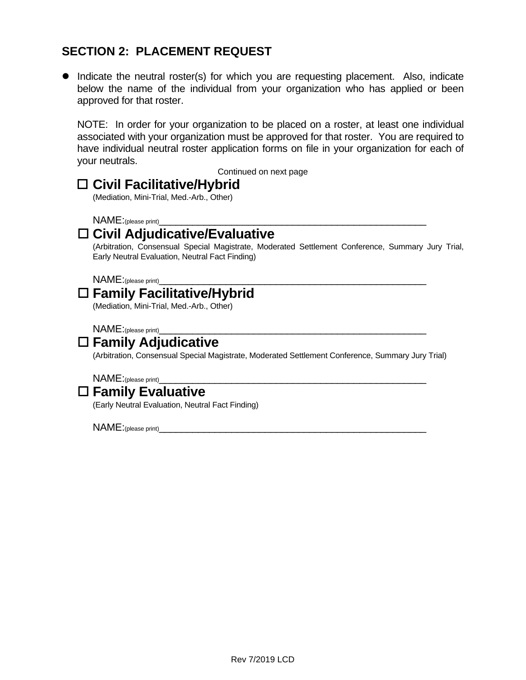### **SECTION 2: PLACEMENT REQUEST**

• Indicate the neutral roster(s) for which you are requesting placement. Also, indicate below the name of the individual from your organization who has applied or been approved for that roster.

NOTE: In order for your organization to be placed on a roster, at least one individual associated with your organization must be approved for that roster. You are required to have individual neutral roster application forms on file in your organization for each of your neutrals.

Continued on next page

## **Civil Facilitative/Hybrid**

(Mediation, Mini-Trial, Med.-Arb., Other)

NAME:(please print)\_\_\_\_\_

## **Civil Adjudicative/Evaluative**

(Arbitration, Consensual Special Magistrate, Moderated Settlement Conference, Summary Jury Trial, Early Neutral Evaluation, Neutral Fact Finding)

NAME:(please print)\_

# **Family Facilitative/Hybrid**

(Mediation, Mini-Trial, Med.-Arb., Other)

NAME:(please print)\_\_\_\_\_\_\_\_\_\_\_\_\_\_\_\_\_\_\_\_\_\_\_\_\_\_\_\_\_\_\_\_\_\_\_\_\_\_\_\_\_\_\_\_\_\_\_\_

# **Family Adjudicative**

(Arbitration, Consensual Special Magistrate, Moderated Settlement Conference, Summary Jury Trial)

 $NAME:_{(please\ print)}$ 

# **Family Evaluative**

(Early Neutral Evaluation, Neutral Fact Finding)

 $\mathsf{NAME:}$ (please print)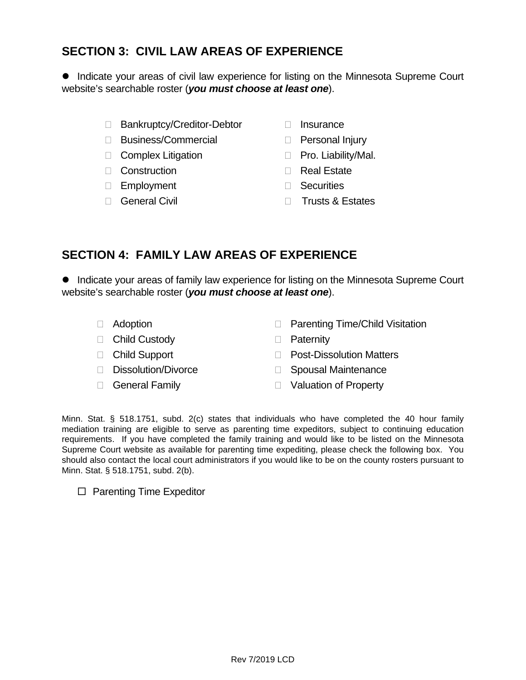### **SECTION 3: CIVIL LAW AREAS OF EXPERIENCE**

**• Indicate your areas of civil law experience for listing on the Minnesota Supreme Court** website's searchable roster (*you must choose at least one*).

- □ Bankruptcy/Creditor-Debtor □ Insurance
- □ Business/Commercial □ Personal Injury
- □ Complex Litigation <br>□ Pro. Liability/Mal.
- □ Construction <br>□ Real Estate
- Employment Securities
- 
- 
- 
- 
- 
- 
- □ General Civil **Trusts & Estates**

#### **SECTION 4: FAMILY LAW AREAS OF EXPERIENCE**

• Indicate your areas of family law experience for listing on the Minnesota Supreme Court website's searchable roster (*you must choose at least one*).

- 
- □ Adoption **Parenting Time/Child Visitation**
- □ Child Custody <br>□ Paternity
	-
- 
- 
- □ Child Support <br>□ Post-Dissolution Matters
- □ Dissolution/Divorce Spousal Maintenance
- □ General Family and South Danison of Property

Minn. Stat. § 518.1751, subd. 2(c) states that individuals who have completed the 40 hour family mediation training are eligible to serve as parenting time expeditors, subject to continuing education requirements. If you have completed the family training and would like to be listed on the Minnesota Supreme Court website as available for parenting time expediting, please check the following box. You should also contact the local court administrators if you would like to be on the county rosters pursuant to Minn. Stat. § 518.1751, subd. 2(b).

 $\Box$  Parenting Time Expeditor